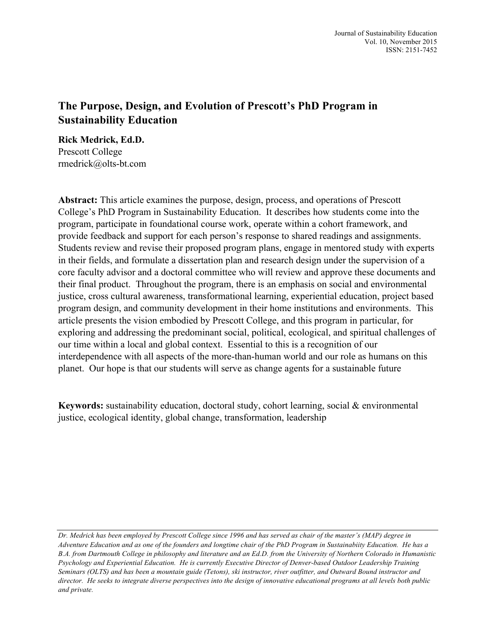## **The Purpose, Design, and Evolution of Prescott's PhD Program in Sustainability Education**

**Rick Medrick, Ed.D.**  Prescott College rmedrick@olts-bt.com

**Abstract:** This article examines the purpose, design, process, and operations of Prescott College's PhD Program in Sustainability Education. It describes how students come into the program, participate in foundational course work, operate within a cohort framework, and provide feedback and support for each person's response to shared readings and assignments. Students review and revise their proposed program plans, engage in mentored study with experts in their fields, and formulate a dissertation plan and research design under the supervision of a core faculty advisor and a doctoral committee who will review and approve these documents and their final product. Throughout the program, there is an emphasis on social and environmental justice, cross cultural awareness, transformational learning, experiential education, project based program design, and community development in their home institutions and environments. This article presents the vision embodied by Prescott College, and this program in particular, for exploring and addressing the predominant social, political, ecological, and spiritual challenges of our time within a local and global context. Essential to this is a recognition of our interdependence with all aspects of the more-than-human world and our role as humans on this planet. Our hope is that our students will serve as change agents for a sustainable future

**Keywords:** sustainability education, doctoral study, cohort learning, social & environmental justice, ecological identity, global change, transformation, leadership

*Dr. Medrick has been employed by Prescott College since 1996 and has served as chair of the master's (MAP) degree in Adventure Education and as one of the founders and longtime chair of the PhD Program in Sustainabiity Education. He has a B.A. from Dartmouth College in philosophy and literature and an Ed.D. from the University of Northern Colorado in Humanistic Psychology and Experiential Education. He is currently Executive Director of Denver-based Outdoor Leadership Training Seminars (OLTS) and has been a mountain guide (Tetons), ski instructor, river outfitter, and Outward Bound instructor and director. He seeks to integrate diverse perspectives into the design of innovative educational programs at all levels both public and private.*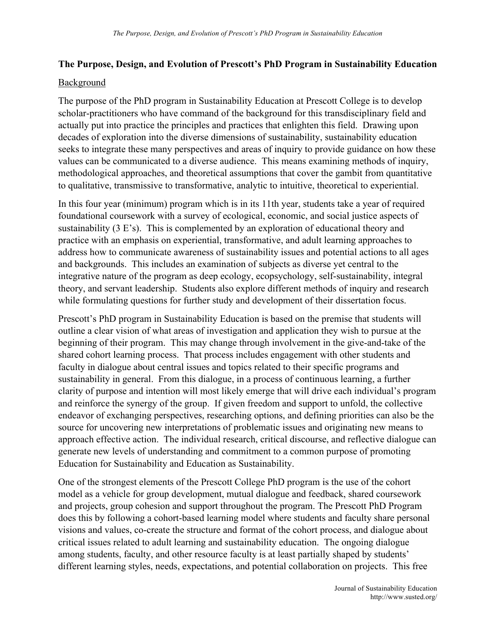## **The Purpose, Design, and Evolution of Prescott's PhD Program in Sustainability Education**

## Background

The purpose of the PhD program in Sustainability Education at Prescott College is to develop scholar-practitioners who have command of the background for this transdisciplinary field and actually put into practice the principles and practices that enlighten this field. Drawing upon decades of exploration into the diverse dimensions of sustainability, sustainability education seeks to integrate these many perspectives and areas of inquiry to provide guidance on how these values can be communicated to a diverse audience. This means examining methods of inquiry, methodological approaches, and theoretical assumptions that cover the gambit from quantitative to qualitative, transmissive to transformative, analytic to intuitive, theoretical to experiential.

In this four year (minimum) program which is in its 11th year, students take a year of required foundational coursework with a survey of ecological, economic, and social justice aspects of sustainability (3 E's). This is complemented by an exploration of educational theory and practice with an emphasis on experiential, transformative, and adult learning approaches to address how to communicate awareness of sustainability issues and potential actions to all ages and backgrounds. This includes an examination of subjects as diverse yet central to the integrative nature of the program as deep ecology, ecopsychology, self-sustainability, integral theory, and servant leadership. Students also explore different methods of inquiry and research while formulating questions for further study and development of their dissertation focus.

Prescott's PhD program in Sustainability Education is based on the premise that students will outline a clear vision of what areas of investigation and application they wish to pursue at the beginning of their program. This may change through involvement in the give-and-take of the shared cohort learning process. That process includes engagement with other students and faculty in dialogue about central issues and topics related to their specific programs and sustainability in general. From this dialogue, in a process of continuous learning, a further clarity of purpose and intention will most likely emerge that will drive each individual's program and reinforce the synergy of the group. If given freedom and support to unfold, the collective endeavor of exchanging perspectives, researching options, and defining priorities can also be the source for uncovering new interpretations of problematic issues and originating new means to approach effective action. The individual research, critical discourse, and reflective dialogue can generate new levels of understanding and commitment to a common purpose of promoting Education for Sustainability and Education as Sustainability.

One of the strongest elements of the Prescott College PhD program is the use of the cohort model as a vehicle for group development, mutual dialogue and feedback, shared coursework and projects, group cohesion and support throughout the program. The Prescott PhD Program does this by following a cohort-based learning model where students and faculty share personal visions and values, co-create the structure and format of the cohort process, and dialogue about critical issues related to adult learning and sustainability education. The ongoing dialogue among students, faculty, and other resource faculty is at least partially shaped by students' different learning styles, needs, expectations, and potential collaboration on projects. This free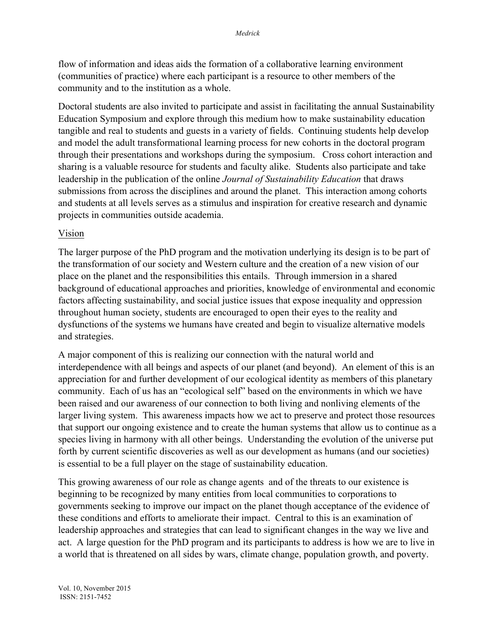flow of information and ideas aids the formation of a collaborative learning environment (communities of practice) where each participant is a resource to other members of the community and to the institution as a whole.

Doctoral students are also invited to participate and assist in facilitating the annual Sustainability Education Symposium and explore through this medium how to make sustainability education tangible and real to students and guests in a variety of fields. Continuing students help develop and model the adult transformational learning process for new cohorts in the doctoral program through their presentations and workshops during the symposium. Cross cohort interaction and sharing is a valuable resource for students and faculty alike. Students also participate and take leadership in the publication of the online *Journal of Sustainability Education* that draws submissions from across the disciplines and around the planet. This interaction among cohorts and students at all levels serves as a stimulus and inspiration for creative research and dynamic projects in communities outside academia.

## Vision

The larger purpose of the PhD program and the motivation underlying its design is to be part of the transformation of our society and Western culture and the creation of a new vision of our place on the planet and the responsibilities this entails. Through immersion in a shared background of educational approaches and priorities, knowledge of environmental and economic factors affecting sustainability, and social justice issues that expose inequality and oppression throughout human society, students are encouraged to open their eyes to the reality and dysfunctions of the systems we humans have created and begin to visualize alternative models and strategies.

A major component of this is realizing our connection with the natural world and interdependence with all beings and aspects of our planet (and beyond). An element of this is an appreciation for and further development of our ecological identity as members of this planetary community. Each of us has an "ecological self" based on the environments in which we have been raised and our awareness of our connection to both living and nonliving elements of the larger living system. This awareness impacts how we act to preserve and protect those resources that support our ongoing existence and to create the human systems that allow us to continue as a species living in harmony with all other beings. Understanding the evolution of the universe put forth by current scientific discoveries as well as our development as humans (and our societies) is essential to be a full player on the stage of sustainability education.

This growing awareness of our role as change agents and of the threats to our existence is beginning to be recognized by many entities from local communities to corporations to governments seeking to improve our impact on the planet though acceptance of the evidence of these conditions and efforts to ameliorate their impact. Central to this is an examination of leadership approaches and strategies that can lead to significant changes in the way we live and act. A large question for the PhD program and its participants to address is how we are to live in a world that is threatened on all sides by wars, climate change, population growth, and poverty.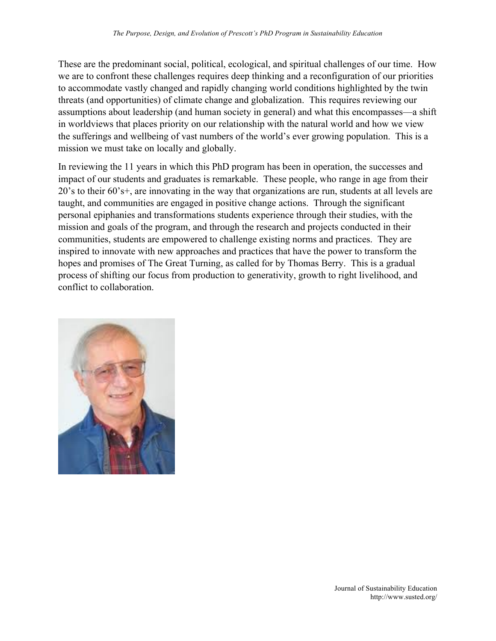These are the predominant social, political, ecological, and spiritual challenges of our time. How we are to confront these challenges requires deep thinking and a reconfiguration of our priorities to accommodate vastly changed and rapidly changing world conditions highlighted by the twin threats (and opportunities) of climate change and globalization. This requires reviewing our assumptions about leadership (and human society in general) and what this encompasses—a shift in worldviews that places priority on our relationship with the natural world and how we view the sufferings and wellbeing of vast numbers of the world's ever growing population. This is a mission we must take on locally and globally.

In reviewing the 11 years in which this PhD program has been in operation, the successes and impact of our students and graduates is remarkable. These people, who range in age from their 20's to their 60's+, are innovating in the way that organizations are run, students at all levels are taught, and communities are engaged in positive change actions. Through the significant personal epiphanies and transformations students experience through their studies, with the mission and goals of the program, and through the research and projects conducted in their communities, students are empowered to challenge existing norms and practices. They are inspired to innovate with new approaches and practices that have the power to transform the hopes and promises of The Great Turning, as called for by Thomas Berry. This is a gradual process of shifting our focus from production to generativity, growth to right livelihood, and conflict to collaboration.